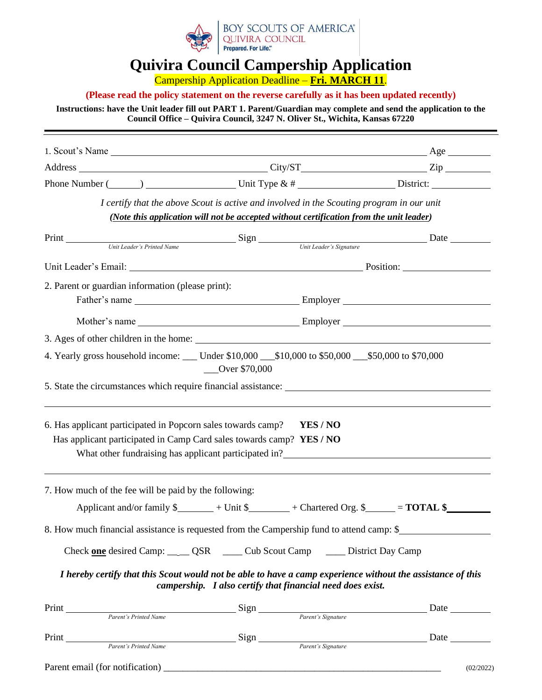

## **Quivira Council Campership Application**

Campership Application Deadline – **Fri. MARCH 11**.

#### **(Please read the policy statement on the reverse carefully as it has been updated recently)**

#### **Instructions: have the Unit leader fill out PART 1. Parent/Guardian may complete and send the application to the Council Office – Quivira Council, 3247 N. Oliver St., Wichita, Kansas 67220**

| Phone Number $(\_\_\_\_)$ $\_\_\_\_\_\_\_\_\_\_$ Unit Type & # $\_\_\_\_\_\_\_\_\_\_\_\_\_\_\_\_\_\_\_\_\_\_$                        |                                                                                                                                                                                      |  |
|--------------------------------------------------------------------------------------------------------------------------------------|--------------------------------------------------------------------------------------------------------------------------------------------------------------------------------------|--|
|                                                                                                                                      | I certify that the above Scout is active and involved in the Scouting program in our unit<br>(Note this application will not be accepted without certification from the unit leader) |  |
|                                                                                                                                      |                                                                                                                                                                                      |  |
|                                                                                                                                      |                                                                                                                                                                                      |  |
| 2. Parent or guardian information (please print):                                                                                    |                                                                                                                                                                                      |  |
|                                                                                                                                      |                                                                                                                                                                                      |  |
|                                                                                                                                      |                                                                                                                                                                                      |  |
|                                                                                                                                      |                                                                                                                                                                                      |  |
| 4. Yearly gross household income: ___ Under \$10,000 __ \$10,000 to \$50,000 __ \$50,000 to \$70,000                                 | Over \$70,000                                                                                                                                                                        |  |
|                                                                                                                                      |                                                                                                                                                                                      |  |
|                                                                                                                                      |                                                                                                                                                                                      |  |
| 6. Has applicant participated in Popcorn sales towards camp?<br>Has applicant participated in Camp Card sales towards camp? YES / NO | YES/NO<br>What other fundraising has applicant participated in?                                                                                                                      |  |
| 7. How much of the fee will be paid by the following:                                                                                |                                                                                                                                                                                      |  |
|                                                                                                                                      | Applicant and/or family $\frac{1}{2}$ + Unit $\frac{1}{2}$ + Chartered Org. $\frac{1}{2}$ = <b>TOTAL \$</b>                                                                          |  |
| 8. How much financial assistance is requested from the Campership fund to attend camp: \$                                            |                                                                                                                                                                                      |  |
|                                                                                                                                      | Check one desired Camp: _____ QSR _____ Cub Scout Camp _____ District Day Camp                                                                                                       |  |
|                                                                                                                                      | I hereby certify that this Scout would not be able to have a camp experience without the assistance of this<br>campership. I also certify that financial need does exist.            |  |
|                                                                                                                                      |                                                                                                                                                                                      |  |
| Print Print Parent's Printed Name Sign Parent's Signature                                                                            |                                                                                                                                                                                      |  |

Parent email (for notification)  $(02/2022)$